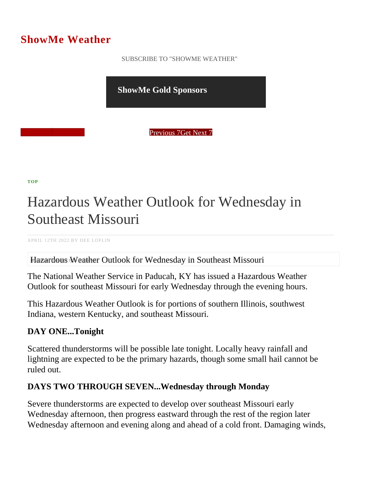## ShowMe Weather

 [SUBSCRIBE TO "SHOWME WEATHER"](/blog_rss.php)

ShowMe Gold Sponsors

Previous Get Next 1

[TOP](/var/www/showmetimes.com/root/javascript:blogScrollToTop()

## Hazardous Weather Outlook for Wednesday in Southeast Missouri

APRIL 12TH 2022 BY DEE LOFLIN

Hazardous Weather Outlook for Wednesday in Southeast Missouri

The National Weather Service in Paducah, KY has issued a Hazardous Weather Outlook for southeast Missouri for early Wednesday through the evening hours.

This Hazardous Weather Outlook is for portions of southern Illinois, southwest Indiana, western Kentucky, and southeast Missouri.

DAY ONE...Tonight

Scattered thunderstorms will be possible late tonight. Locally heavy rainfall and lightning are expected to be the primary hazards, though some small hail cannot be ruled out.

DAYS TWO THROUGH SEVEN...Wednesday through Monday

Severe thunderstorms are expected to develop over southeast Missouri early Wednesday afternoon, then progress eastward through the rest of the region later Wednesday afternoon and evening along and ahead of a cold front. Damaging winds,